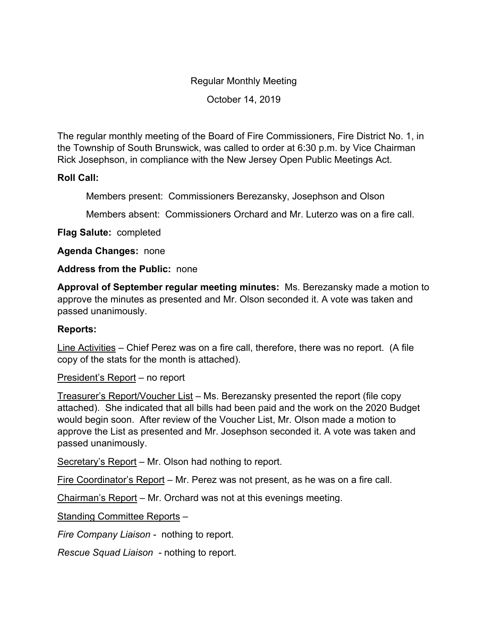## Regular Monthly Meeting

October 14, 2019

The regular monthly meeting of the Board of Fire Commissioners, Fire District No. 1, in the Township of South Brunswick, was called to order at 6:30 p.m. by Vice Chairman Rick Josephson, in compliance with the New Jersey Open Public Meetings Act.

## **Roll Call:**

Members present: Commissioners Berezansky, Josephson and Olson

Members absent: Commissioners Orchard and Mr. Luterzo was on a fire call.

**Flag Salute:** completed

**Agenda Changes:** none

## **Address from the Public:** none

**Approval of September regular meeting minutes:** Ms. Berezansky made a motion to approve the minutes as presented and Mr. Olson seconded it. A vote was taken and passed unanimously.

## **Reports:**

Line Activities – Chief Perez was on a fire call, therefore, there was no report. (A file copy of the stats for the month is attached).

President's Report – no report

Treasurer's Report/Voucher List – Ms. Berezansky presented the report (file copy attached). She indicated that all bills had been paid and the work on the 2020 Budget would begin soon. After review of the Voucher List, Mr. Olson made a motion to approve the List as presented and Mr. Josephson seconded it. A vote was taken and passed unanimously.

Secretary's Report – Mr. Olson had nothing to report.

Fire Coordinator's Report – Mr. Perez was not present, as he was on a fire call.

Chairman's Report – Mr. Orchard was not at this evenings meeting.

Standing Committee Reports –

*Fire Company Liaison -* nothing to report.

*Rescue Squad Liaison -* nothing to report.